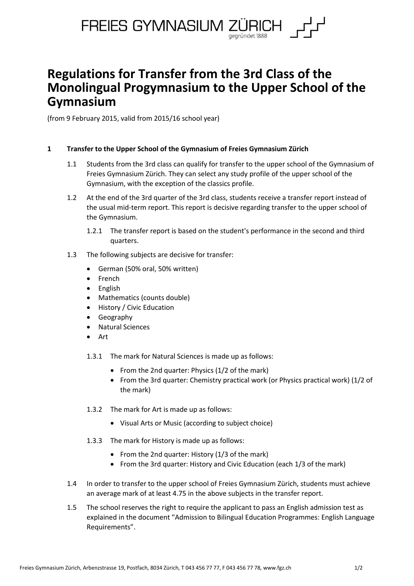

# **Regulations for Transfer from the 3rd Class of the Monolingual Progymnasium to the Upper School of the Gymnasium**

(from 9 February 2015, valid from 2015/16 school year)

## **1 Transfer to the Upper School of the Gymnasium of Freies Gymnasium Zürich**

- 1.1 Students from the 3rd class can qualify for transfer to the upper school of the Gymnasium of Freies Gymnasium Zürich. They can select any study profile of the upper school of the Gymnasium, with the exception of the classics profile.
- 1.2 At the end of the 3rd quarter of the 3rd class, students receive a transfer report instead of the usual mid-term report. This report is decisive regarding transfer to the upper school of the Gymnasium.
	- 1.2.1 The transfer report is based on the student's performance in the second and third quarters.
- 1.3 The following subjects are decisive for transfer:
	- German (50% oral, 50% written)
	- French
	- English
	- Mathematics (counts double)
	- History / Civic Education
	- Geography
	- Natural Sciences
	- Art
	- 1.3.1 The mark for Natural Sciences is made up as follows:
		- From the 2nd quarter: Physics (1/2 of the mark)
		- From the 3rd quarter: Chemistry practical work (or Physics practical work) (1/2 of the mark)
	- 1.3.2 The mark for Art is made up as follows:
		- Visual Arts or Music (according to subject choice)
	- 1.3.3 The mark for History is made up as follows:
		- From the 2nd quarter: History  $(1/3)$  of the mark)
		- From the 3rd quarter: History and Civic Education (each 1/3 of the mark)
- 1.4 In order to transfer to the upper school of Freies Gymnasium Zürich, students must achieve an average mark of at least 4.75 in the above subjects in the transfer report.
- 1.5 The school reserves the right to require the applicant to pass an English admission test as explained in the document "Admission to Bilingual Education Programmes: English Language Requirements".